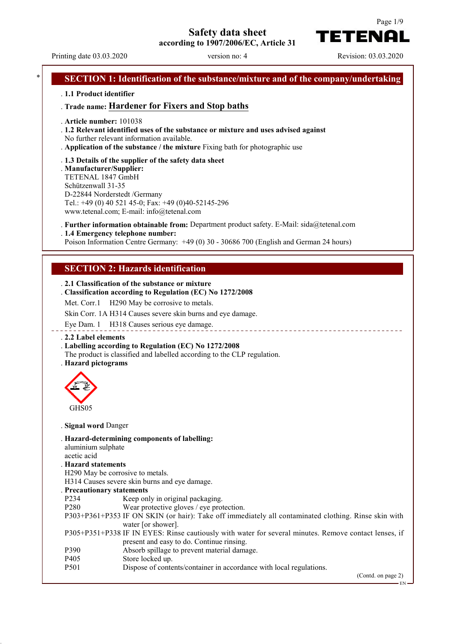**Safety data sheet**

**according to 1907/2006/EC, Article 31**

Page 1/9 TETENAI

Printing date 03.03.2020 version no: 4 Revision: 03.03.2020

# **SECTION 1: Identification of the substance/mixture and of the company/undertaking** . **1.1 Product identifier** . **Trade name: Hardener for Fixers and Stop baths** . **Article number:** 101038 . **1.2 Relevant identified uses of the substance or mixture and uses advised against** No further relevant information available. . **Application of the substance / the mixture** Fixing bath for photographic use . **1.3 Details of the supplier of the safety data sheet** . **Manufacturer/Supplier:** TETENAL 1847 GmbH Schützenwall 31-35 D-22844 Norderstedt /Germany Tel.: +49 (0) 40 521 45-0; Fax: +49 (0)40-52145-296 www.tetenal.com; E-mail: info@tetenal.com . **Further information obtainable from:** Department product safety. E-Mail: sida@tetenal.com . **1.4 Emergency telephone number:** Poison Information Centre Germany: +49 (0) 30 - 30686 700 (English and German 24 hours) **SECTION 2: Hazards identification** . **2.1 Classification of the substance or mixture** . **Classification according to Regulation (EC) No 1272/2008** Met. Corr.1 H290 May be corrosive to metals. Skin Corr. 1A H314 Causes severe skin burns and eye damage. Eye Dam. 1 H318 Causes serious eye damage. \_\_\_\_\_\_\_\_\_\_\_\_\_\_\_\_\_\_\_\_\_ . **2.2 Label elements** . **Labelling according to Regulation (EC) No 1272/2008** The product is classified and labelled according to the CLP regulation. . **Hazard pictograms** GHS<sub>05</sub> . **Signal word** Danger . **Hazard-determining components of labelling:** aluminium sulphate acetic acid . **Hazard statements** H290 May be corrosive to metals. H314 Causes severe skin burns and eye damage. . **Precautionary statements** P234 Keep only in original packaging.<br>P280 Wear protective gloves / eve prot Wear protective gloves / eye protection. P303+P361+P353 IF ON SKIN (or hair): Take off immediately all contaminated clothing. Rinse skin with water [or shower]. P305+P351+P338 IF IN EYES: Rinse cautiously with water for several minutes. Remove contact lenses, if present and easy to do. Continue rinsing. P390 Absorb spillage to prevent material damage.<br>P405 Store locked up. P<sub>405</sub> Store locked up.<br>P<sub>501</sub> Store of conte Dispose of contents/container in accordance with local regulations. (Contd. on page 2) EN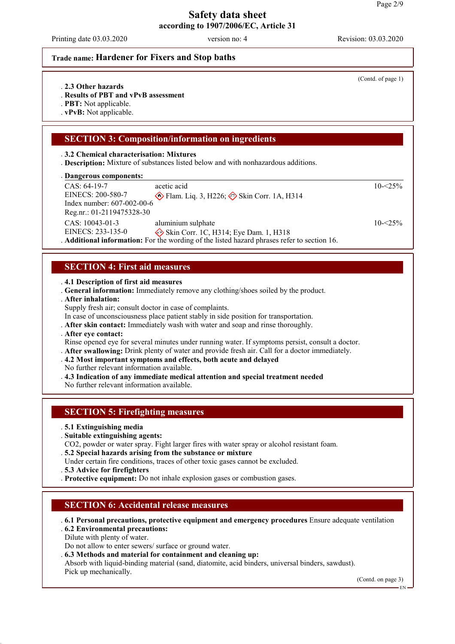Printing date 03.03.2020 version no: 4 Revision: 03.03.2020

### **Trade name: Hardener for Fixers and Stop baths**

- . **2.3 Other hazards**
- . **Results of PBT and vPvB assessment**
- . **PBT:** Not applicable.
- . **vPvB:** Not applicable.

## **SECTION 3: Composition/information on ingredients**

### . **3.2 Chemical characterisation: Mixtures**

. **Description:** Mixture of substances listed below and with nonhazardous additions.

### **Dangerous components:** .

| $CAS: 64-19-7$             | acetic acid                                                                                 | $10 - 25\%$ |
|----------------------------|---------------------------------------------------------------------------------------------|-------------|
| EINECS: 200-580-7          | Flam. Liq. 3, H226; $\leftrightarrow$ Skin Corr. 1A, H314                                   |             |
| Index number: 607-002-00-6 |                                                                                             |             |
| Reg.nr.: 01-2119475328-30  |                                                                                             |             |
| $CAS: 10043-01-3$          | aluminium sulphate                                                                          | $10 - 25\%$ |
| EINECS: 233-135-0          | Skin Corr. 1C, H314; Eye Dam. 1, H318                                                       |             |
|                            | . Additional information: For the wording of the listed hazard phrases refer to section 16. |             |

# **SECTION 4: First aid measures**

## . **4.1 Description of first aid measures**

. **General information:** Immediately remove any clothing/shoes soiled by the product.

- . **After inhalation:**
- Supply fresh air; consult doctor in case of complaints.
- In case of unconsciousness place patient stably in side position for transportation.
- . **After skin contact:** Immediately wash with water and soap and rinse thoroughly.
- . **After eye contact:**
- Rinse opened eye for several minutes under running water. If symptoms persist, consult a doctor.
- . **After swallowing:** Drink plenty of water and provide fresh air. Call for a doctor immediately.
- . **4.2 Most important symptoms and effects, both acute and delayed**
- No further relevant information available.
- . **4.3 Indication of any immediate medical attention and special treatment needed**

No further relevant information available.

## **SECTION 5: Firefighting measures**

- . **5.1 Extinguishing media**
- . **Suitable extinguishing agents:**
- CO2, powder or water spray. Fight larger fires with water spray or alcohol resistant foam.
- . **5.2 Special hazards arising from the substance or mixture**
- Under certain fire conditions, traces of other toxic gases cannot be excluded.
- . **5.3 Advice for firefighters**
- . **Protective equipment:** Do not inhale explosion gases or combustion gases.

## **SECTION 6: Accidental release measures**

- . **6.1 Personal precautions, protective equipment and emergency procedures** Ensure adequate ventilation
- . **6.2 Environmental precautions:**
- Dilute with plenty of water.
- Do not allow to enter sewers/ surface or ground water.
- . **6.3 Methods and material for containment and cleaning up:**
- Absorb with liquid-binding material (sand, diatomite, acid binders, universal binders, sawdust). Pick up mechanically.

(Contd. on page 3)

EN

(Contd. of page 1)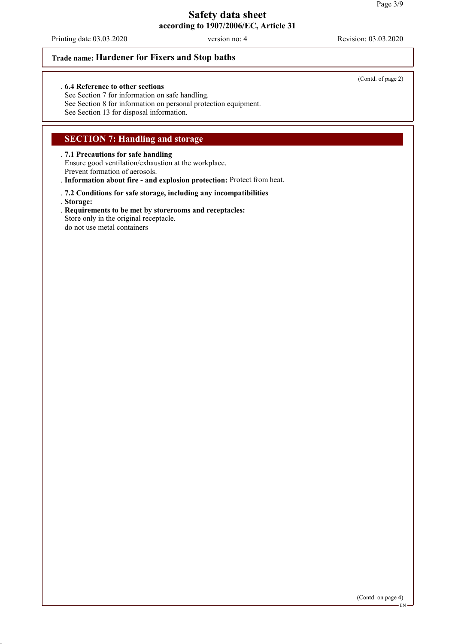Printing date 03.03.2020 version no: 4 Revision: 03.03.2020

## **Trade name: Hardener for Fixers and Stop baths**

### . **6.4 Reference to other sections**

See Section 7 for information on safe handling. See Section 8 for information on personal protection equipment. See Section 13 for disposal information.

## **SECTION 7: Handling and storage**

### . **7.1 Precautions for safe handling**

Ensure good ventilation/exhaustion at the workplace.

Prevent formation of aerosols.

. **Information about fire - and explosion protection:** Protect from heat.

# . **7.2 Conditions for safe storage, including any incompatibilities**

. **Storage:**

- . **Requirements to be met by storerooms and receptacles:**
- Store only in the original receptacle.

do not use metal containers

### EN

(Contd. of page 2)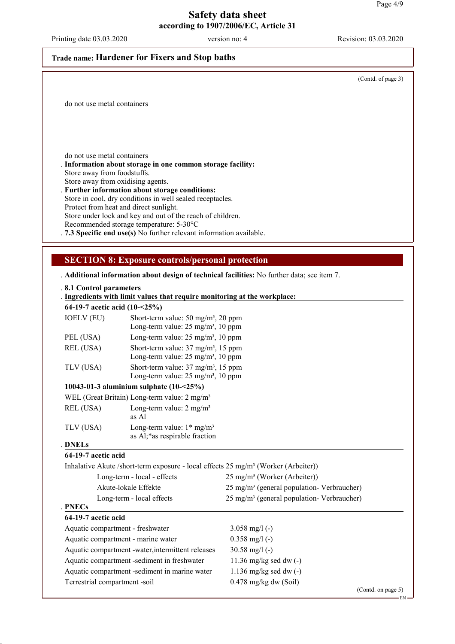Printing date 03.03.2020 version no: 4 Revision: 03.03.2020

## **Trade name: Hardener for Fixers and Stop baths**

(Contd. of page 3)

do not use metal containers

do not use metal containers

. **Information about storage in one common storage facility:** Store away from foodstuffs. Store away from oxidising agents.

. **Further information about storage conditions:** Store in cool, dry conditions in well sealed receptacles. Protect from heat and direct sunlight. Store under lock and key and out of the reach of children. Recommended storage temperature: 5-30°C . **7.3 Specific end use(s)** No further relevant information available.

### **SECTION 8: Exposure controls/personal protection**

. **Additional information about design of technical facilities:** No further data; see item 7.

#### . **8.1 Control parameters**

| $\sim$ 0.1 $\sim$ 0.1 $\mu$ 0.1 $\mu$ metallices b<br>. Ingredients with limit values that require monitoring at the workplace:<br>64-19-7 acetic acid $(10-25%)$ |                                             |  |
|-------------------------------------------------------------------------------------------------------------------------------------------------------------------|---------------------------------------------|--|
|                                                                                                                                                                   |                                             |  |
|                                                                                                                                                                   | Long torm value: $25 \text{ ma/m}^3$ 10 npm |  |

|           | Long-term value: $25 \text{ mg/m}^3$ , 10 ppm                                                              |
|-----------|------------------------------------------------------------------------------------------------------------|
| PEL (USA) | Long-term value: $25 \text{ mg/m}^3$ , 10 ppm                                                              |
| REL (USA) | Short-term value: $37 \text{ mg/m}^3$ , $15 \text{ ppm}$<br>Long-term value: $25 \text{ mg/m}^3$ , 10 ppm  |
| TLV (USA) | Short-term value: $37 \text{ mg/m}^3$ , $15 \text{ ppm}$<br>Long-term value: 25 mg/m <sup>3</sup> , 10 ppm |

### **10043-01-3 aluminium sulphate (10-<25%)**

|           | WEL (Great Britain) Long-term value: $2 \text{ mg/m}^3$                  |
|-----------|--------------------------------------------------------------------------|
| REL (USA) | Long-term value: $2 \text{ mg/m}^3$<br>as Al                             |
| TLV (USA) | Long-term value: $1*$ mg/m <sup>3</sup><br>as Al;*as respirable fraction |

### **DNELs** .

### **64-19-7 acetic acid**

Inhalative Akute /short-term exposure - local effects 25 mg/m³ (Worker (Arbeiter))

| Long-term - local - effects        | $25 \text{ mg/m}^3$ (Worker (Arbeiter))              |
|------------------------------------|------------------------------------------------------|
| Akute-lokale Effekte               | $25 \text{ mg/m}^3$ (general population-Verbraucher) |
| Long-term - local effects          | $25 \text{ mg/m}^3$ (general population-Verbraucher) |
| . PNECs                            |                                                      |
| 64-19-7 acetic acid                |                                                      |
| Aquatic compartment - freshwater   | 3.058 mg/l $(-)$                                     |
| Aquatic compartment - marine water | $0.358$ mg/l (-)                                     |

| Aquatic compartment - marine water                | $0.338$ mg/ $( - )$      |
|---------------------------------------------------|--------------------------|
| Aquatic compartment -water, intermittent releases | $30.58 \text{ mg}/1$ (-) |
| Aquatic compartment -sediment in freshwater       | 11.36 mg/kg sed dw $(-)$ |
| Aquatic compartment -sediment in marine water     | 1.136 mg/kg sed dw $(-)$ |
| Terrestrial compartment -soil                     | $0.478$ mg/kg dw (Soil)  |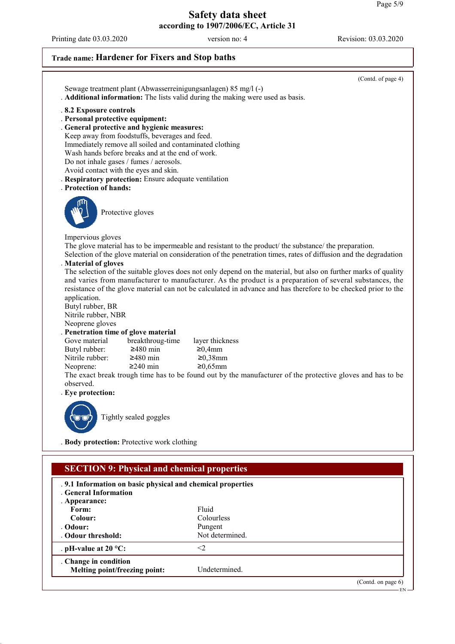Printing date 03.03.2020 version no: 4 Revision: 03.03.2020

# **Trade name: Hardener for Fixers and Stop baths**

|                                                                                                                                                                                                                                                                                                                                                                                                                                                   | (Contd. of page 4)                                                                                                                                                                                                                                                                                                                                                                                                                                                                                                                                                                                                                                                                                                                                 |
|---------------------------------------------------------------------------------------------------------------------------------------------------------------------------------------------------------------------------------------------------------------------------------------------------------------------------------------------------------------------------------------------------------------------------------------------------|----------------------------------------------------------------------------------------------------------------------------------------------------------------------------------------------------------------------------------------------------------------------------------------------------------------------------------------------------------------------------------------------------------------------------------------------------------------------------------------------------------------------------------------------------------------------------------------------------------------------------------------------------------------------------------------------------------------------------------------------------|
| Sewage treatment plant (Abwasserreinigungsanlagen) 85 mg/l (-)<br>. Additional information: The lists valid during the making were used as basis.                                                                                                                                                                                                                                                                                                 |                                                                                                                                                                                                                                                                                                                                                                                                                                                                                                                                                                                                                                                                                                                                                    |
| .8.2 Exposure controls<br>. Personal protective equipment:<br>. General protective and hygienic measures:<br>Keep away from foodstuffs, beverages and feed.<br>Immediately remove all soiled and contaminated clothing<br>Wash hands before breaks and at the end of work.<br>Do not inhale gases / fumes / aerosols.<br>Avoid contact with the eyes and skin.<br>. Respiratory protection: Ensure adequate ventilation<br>. Protection of hands: |                                                                                                                                                                                                                                                                                                                                                                                                                                                                                                                                                                                                                                                                                                                                                    |
| Protective gloves                                                                                                                                                                                                                                                                                                                                                                                                                                 |                                                                                                                                                                                                                                                                                                                                                                                                                                                                                                                                                                                                                                                                                                                                                    |
| Impervious gloves<br>. Material of gloves<br>application.<br>Butyl rubber, BR<br>Nitrile rubber, NBR<br>Neoprene gloves<br>. Penetration time of glove material<br>breakthroug-time<br>Gove material<br>Butyl rubber:<br>$≥480$ min<br>Nitrile rubber:<br>$\geq$ 480 min<br>$≥240$ min<br>Neoprene:<br>observed.<br>. Eye protection:<br>Tightly sealed goggles<br><b>(UD)</b>                                                                    | The glove material has to be impermeable and resistant to the product/ the substance/ the preparation.<br>Selection of the glove material on consideration of the penetration times, rates of diffusion and the degradation<br>The selection of the suitable gloves does not only depend on the material, but also on further marks of quality<br>and varies from manufacturer to manufacturer. As the product is a preparation of several substances, the<br>resistance of the glove material can not be calculated in advance and has therefore to be checked prior to the<br>layer thickness<br>≥0,4mm<br>$≥0,38$ mm<br>$≥0,65mm$<br>The exact break trough time has to be found out by the manufacturer of the protective gloves and has to be |
| . Body protection: Protective work clothing                                                                                                                                                                                                                                                                                                                                                                                                       |                                                                                                                                                                                                                                                                                                                                                                                                                                                                                                                                                                                                                                                                                                                                                    |
| <b>SECTION 9: Physical and chemical properties</b>                                                                                                                                                                                                                                                                                                                                                                                                |                                                                                                                                                                                                                                                                                                                                                                                                                                                                                                                                                                                                                                                                                                                                                    |
| .9.1 Information on basic physical and chemical properties<br>. General Information<br>. Appearance:                                                                                                                                                                                                                                                                                                                                              |                                                                                                                                                                                                                                                                                                                                                                                                                                                                                                                                                                                                                                                                                                                                                    |
| Form:                                                                                                                                                                                                                                                                                                                                                                                                                                             | Fluid                                                                                                                                                                                                                                                                                                                                                                                                                                                                                                                                                                                                                                                                                                                                              |
| Colour:<br>Odour:                                                                                                                                                                                                                                                                                                                                                                                                                                 | Colourless<br>Pungent                                                                                                                                                                                                                                                                                                                                                                                                                                                                                                                                                                                                                                                                                                                              |
| Odour threshold:                                                                                                                                                                                                                                                                                                                                                                                                                                  | Not determined.                                                                                                                                                                                                                                                                                                                                                                                                                                                                                                                                                                                                                                                                                                                                    |
| . pH-value at $20 °C$ :                                                                                                                                                                                                                                                                                                                                                                                                                           | $<$ 2                                                                                                                                                                                                                                                                                                                                                                                                                                                                                                                                                                                                                                                                                                                                              |
| . Change in condition<br>Melting point/freezing point:                                                                                                                                                                                                                                                                                                                                                                                            | Undetermined.                                                                                                                                                                                                                                                                                                                                                                                                                                                                                                                                                                                                                                                                                                                                      |
|                                                                                                                                                                                                                                                                                                                                                                                                                                                   | (Contd. on page $6$ )                                                                                                                                                                                                                                                                                                                                                                                                                                                                                                                                                                                                                                                                                                                              |

EN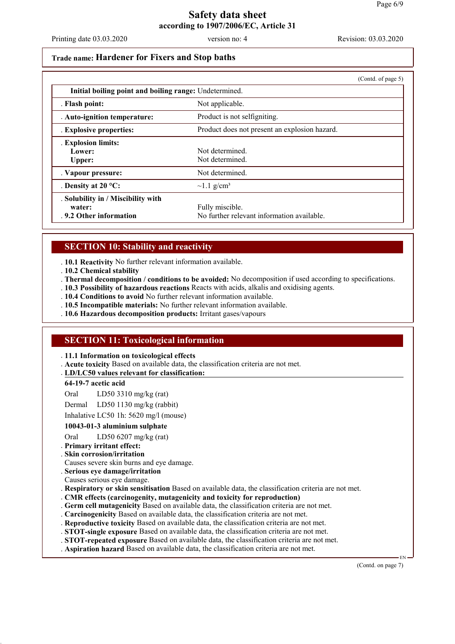Printing date 03.03.2020 version no: 4 Revision: 03.03.2020

### **Trade name: Hardener for Fixers and Stop baths**

|                                                                        |                                                               | (Contd. of page 5) |  |
|------------------------------------------------------------------------|---------------------------------------------------------------|--------------------|--|
|                                                                        | Initial boiling point and boiling range: Undetermined.        |                    |  |
| . Flash point:                                                         | Not applicable.                                               |                    |  |
| . Auto-ignition temperature:                                           | Product is not selfigniting.                                  |                    |  |
| . Explosive properties:                                                | Product does not present an explosion hazard.                 |                    |  |
| . Explosion limits:<br>Lower:<br>Upper:                                | Not determined<br>Not determined.                             |                    |  |
| . Vapour pressure:                                                     | Not determined.                                               |                    |  |
| . Density at $20^{\circ}$ C:                                           | $\sim$ 1.1 g/cm <sup>3</sup>                                  |                    |  |
| . Solubility in / Miscibility with<br>water:<br>.9.2 Other information | Fully miscible.<br>No further relevant information available. |                    |  |

### **SECTION 10: Stability and reactivity**

. **10.1 Reactivity** No further relevant information available.

- . **10.2 Chemical stability**
- . **Thermal decomposition / conditions to be avoided:** No decomposition if used according to specifications.
- . **10.3 Possibility of hazardous reactions** Reacts with acids, alkalis and oxidising agents.
- . **10.4 Conditions to avoid** No further relevant information available.
- . **10.5 Incompatible materials:** No further relevant information available.
- . **10.6 Hazardous decomposition products:** Irritant gases/vapours

## **SECTION 11: Toxicological information**

. **11.1 Information on toxicological effects**

. **Acute toxicity** Based on available data, the classification criteria are not met.

**LD/LC50 values relevant for classification:** .

### **64-19-7 acetic acid**

Oral LD50 3310 mg/kg (rat)

Dermal LD50 1130 mg/kg (rabbit)

Inhalative LC50 1h: 5620 mg/l (mouse)

### **10043-01-3 aluminium sulphate**

Oral LD50 6207 mg/kg (rat)

- . **Primary irritant effect:**
- . **Skin corrosion/irritation**
- Causes severe skin burns and eye damage.
- . **Serious eye damage/irritation**
- Causes serious eye damage.
- . **Respiratory or skin sensitisation** Based on available data, the classification criteria are not met.
- . **CMR effects (carcinogenity, mutagenicity and toxicity for reproduction)**
- . **Germ cell mutagenicity** Based on available data, the classification criteria are not met.
- . **Carcinogenicity** Based on available data, the classification criteria are not met.
- . **Reproductive toxicity** Based on available data, the classification criteria are not met.
- . **STOT-single exposure** Based on available data, the classification criteria are not met.
- . **STOT-repeated exposure** Based on available data, the classification criteria are not met.
- . **Aspiration hazard** Based on available data, the classification criteria are not met.

(Contd. on page 7)

EN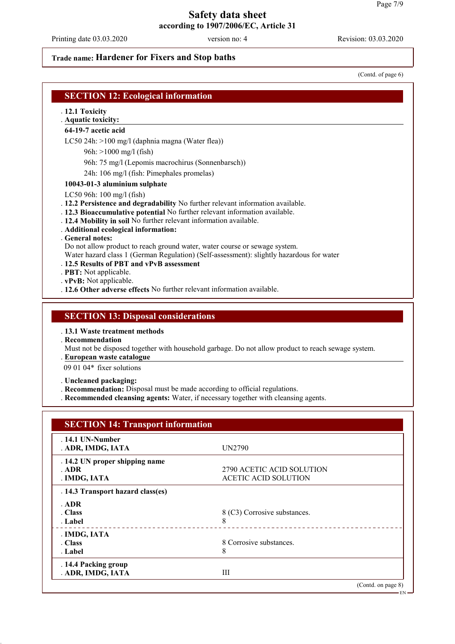Printing date 03.03.2020 version no: 4 Revision: 03.03.2020

## **Trade name: Hardener for Fixers and Stop baths**

(Contd. of page 6)

EN

## **SECTION 12: Ecological information**

. **12.1 Toxicity**

## **Aquatic toxicity:** .

**64-19-7 acetic acid**

LC50 24h: >100 mg/l (daphnia magna (Water flea))

96h: >1000 mg/l (fish)

96h: 75 mg/l (Lepomis macrochirus (Sonnenbarsch))

24h: 106 mg/l (fish: Pimephales promelas)

### **10043-01-3 aluminium sulphate**

LC50 96h: 100 mg/l (fish)

- . **12.2 Persistence and degradability** No further relevant information available.
- . **12.3 Bioaccumulative potential** No further relevant information available.
- . **12.4 Mobility in soil** No further relevant information available.
- . **Additional ecological information:**

. **General notes:**

Do not allow product to reach ground water, water course or sewage system.

Water hazard class 1 (German Regulation) (Self-assessment): slightly hazardous for water

### . **12.5 Results of PBT and vPvB assessment**

. **PBT:** Not applicable.

. **vPvB:** Not applicable.

. **12.6 Other adverse effects** No further relevant information available.

### **SECTION 13: Disposal considerations**

. **13.1 Waste treatment methods**

. **Recommendation**

Must not be disposed together with household garbage. Do not allow product to reach sewage system.

**European waste catalogue** .

09 01 04\* fixer solutions

. **Uncleaned packaging:**

- . **Recommendation:** Disposal must be made according to official regulations.
- . **Recommended cleansing agents:** Water, if necessary together with cleansing agents.

| <b>SECTION 14: Transport information</b> |                              |
|------------------------------------------|------------------------------|
| $.14.1$ UN-Number                        | UN2790                       |
| . ADR, IMDG, IATA                        |                              |
| . 14.2 UN proper shipping name           |                              |
| . ADR                                    | 2790 ACETIC ACID SOLUTION    |
| . IMDG, IATA                             | <b>ACETIC ACID SOLUTION</b>  |
| . 14.3 Transport hazard class(es)        |                              |
| . ADR                                    |                              |
| . Class                                  | 8 (C3) Corrosive substances. |
| . Label                                  | 8                            |
| . IMDG, IATA                             |                              |
| . Class                                  | 8 Corrosive substances.      |
| . Label                                  | 8                            |
| . 14.4 Packing group                     |                              |
| . ADR, IMDG, IATA                        | Ш                            |
|                                          | (Contd. on page 8)           |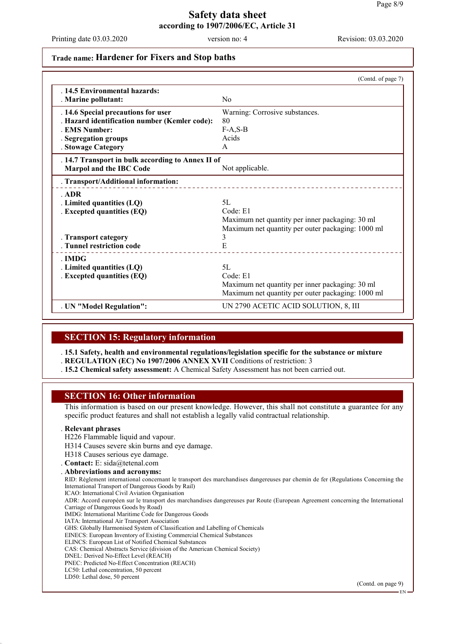EN

## **Safety data sheet according to 1907/2006/EC, Article 31**

Printing date 03.03.2020 version no: 4 Revision: 03.03.2020

### **Trade name: Hardener for Fixers and Stop baths**

|                                                   | (Contd. of page 7)                                |
|---------------------------------------------------|---------------------------------------------------|
| .14.5 Environmental hazards:                      |                                                   |
| . Marine pollutant:                               | N <sub>0</sub>                                    |
| . 14.6 Special precautions for user               | Warning: Corrosive substances.                    |
| . Hazard identification number (Kemler code):     | 80                                                |
| <b>EMS Number:</b>                                | $F-A, S-B$                                        |
| <b>Segregation groups</b>                         | Acids                                             |
| . Stowage Category                                | $\mathsf{A}$                                      |
| . 14.7 Transport in bulk according to Annex II of |                                                   |
| Marpol and the IBC Code                           | Not applicable.                                   |
| . Transport/Additional information:               |                                                   |
| . ADR                                             |                                                   |
| . Limited quantities (LQ)                         | 5L                                                |
| . Excepted quantities (EQ)                        | Code: E1                                          |
|                                                   | Maximum net quantity per inner packaging: 30 ml   |
|                                                   | Maximum net quantity per outer packaging: 1000 ml |
| . Transport category                              | 3                                                 |
| . Tunnel restriction code                         | E                                                 |
| . IMDG                                            |                                                   |
| . Limited quantities (LQ)                         | 5L                                                |
| . Excepted quantities (EQ)                        | Code: E1                                          |
|                                                   | Maximum net quantity per inner packaging: 30 ml   |
|                                                   | Maximum net quantity per outer packaging: 1000 ml |
| . UN "Model Regulation":                          | UN 2790 ACETIC ACID SOLUTION, 8, III              |

### **SECTION 15: Regulatory information**

. **15.1 Safety, health and environmental regulations/legislation specific for the substance or mixture** . **REGULATION (EC) No 1907/2006 ANNEX XVII** Conditions of restriction: 3

. **15.2 Chemical safety assessment:** A Chemical Safety Assessment has not been carried out.

### **SECTION 16: Other information**

This information is based on our present knowledge. However, this shall not constitute a guarantee for any specific product features and shall not establish a legally valid contractual relationship.

### . **Relevant phrases**

H226 Flammable liquid and vapour.

- H314 Causes severe skin burns and eye damage.
- H318 Causes serious eye damage.

### . **Contact:** E: sida@tetenal.com

. **Abbreviations and acronyms:** RID: Règlement international concernant le transport des marchandises dangereuses par chemin de fer (Regulations Concerning the International Transport of Dangerous Goods by Rail) ICAO: International Civil Aviation Organisation ADR: Accord européen sur le transport des marchandises dangereuses par Route (European Agreement concerning the International Carriage of Dangerous Goods by Road) IMDG: International Maritime Code for Dangerous Goods IATA: International Air Transport Association GHS: Globally Harmonised System of Classification and Labelling of Chemicals EINECS: European Inventory of Existing Commercial Chemical Substances ELINCS: European List of Notified Chemical Substances CAS: Chemical Abstracts Service (division of the American Chemical Society) DNEL: Derived No-Effect Level (REACH) PNEC: Predicted No-Effect Concentration (REACH) LC50: Lethal concentration, 50 percent LD50: Lethal dose, 50 percent (Contd. on page 9)